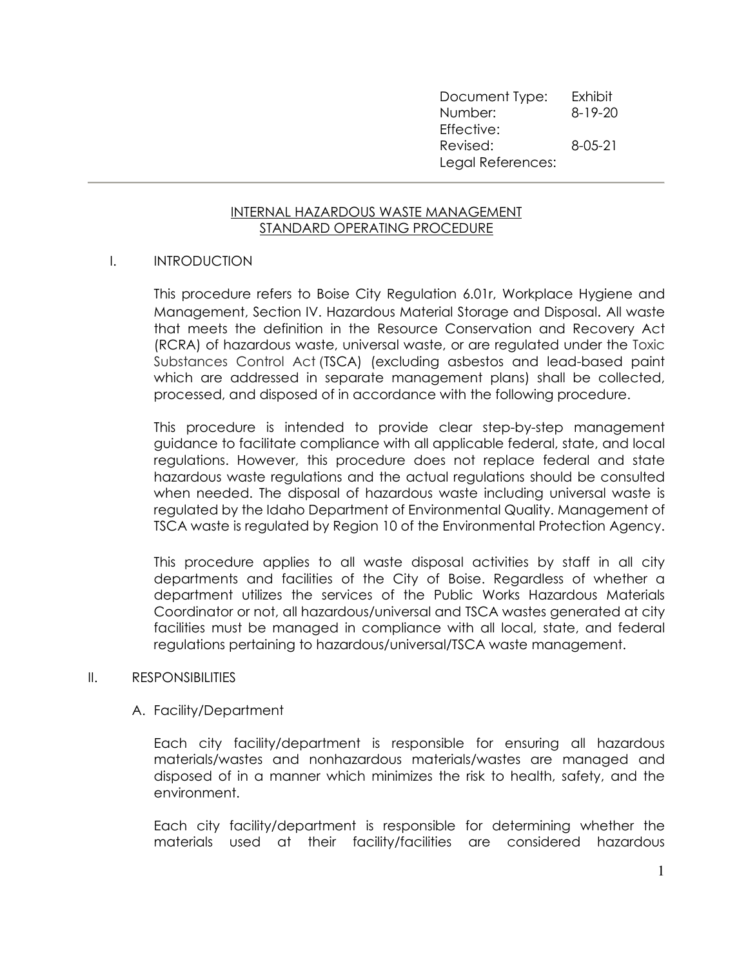Document Type: Exhibit Number: 8-19-20 Effective: Revised: 8-05-21 Legal References:

### INTERNAL HAZARDOUS WASTE MANAGEMENT STANDARD OPERATING PROCEDURE

### I. INTRODUCTION

This procedure refers to Boise City Regulation 6.01r, Workplace Hygiene and Management, Section IV. Hazardous Material Storage and Disposal. All waste that meets the definition in the Resource Conservation and Recovery Act (RCRA) of hazardous waste, universal waste, or are regulated under the Toxic Substances Control Act (TSCA) (excluding asbestos and lead-based paint which are addressed in separate management plans) shall be collected, processed, and disposed of in accordance with the following procedure.

This procedure is intended to provide clear step-by-step management guidance to facilitate compliance with all applicable federal, state, and local regulations. However, this procedure does not replace federal and state hazardous waste regulations and the actual regulations should be consulted when needed. The disposal of hazardous waste including universal waste is regulated by the Idaho Department of Environmental Quality. Management of TSCA waste is regulated by Region 10 of the Environmental Protection Agency.

This procedure applies to all waste disposal activities by staff in all city departments and facilities of the City of Boise. Regardless of whether a department utilizes the services of the Public Works Hazardous Materials Coordinator or not, all hazardous/universal and TSCA wastes generated at city facilities must be managed in compliance with all local, state, and federal regulations pertaining to hazardous/universal/TSCA waste management.

#### II. RESPONSIBILITIES

#### A. Facility/Department

Each city facility/department is responsible for ensuring all hazardous materials/wastes and nonhazardous materials/wastes are managed and disposed of in a manner which minimizes the risk to health, safety, and the environment.

Each city facility/department is responsible for determining whether the materials used at their facility/facilities are considered hazardous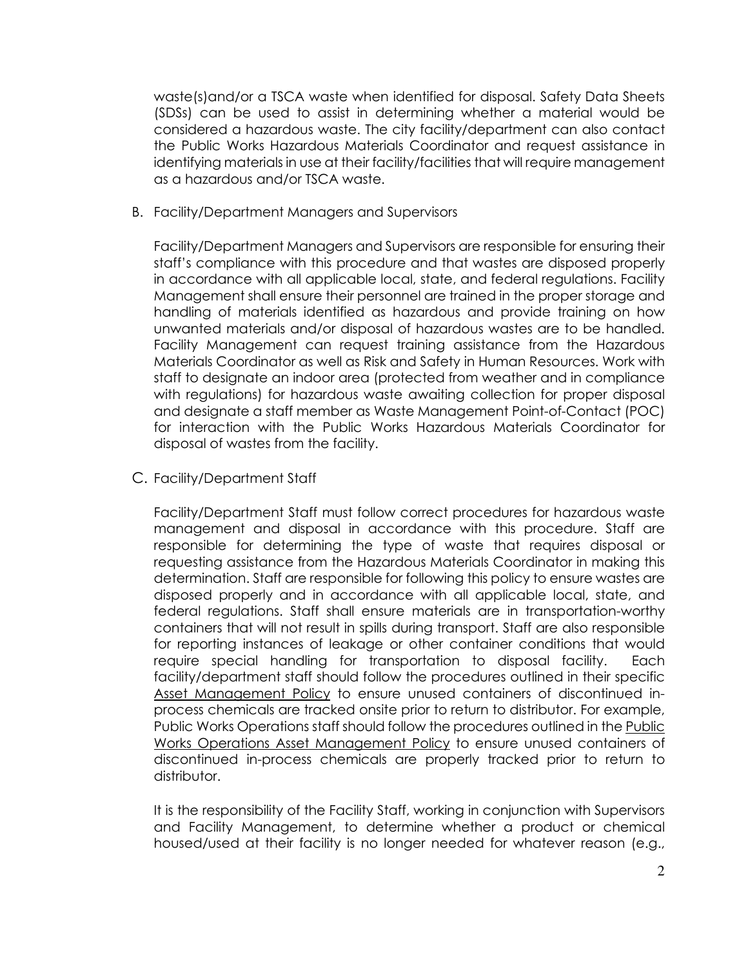waste(s)and/or a TSCA waste when identified for disposal. Safety Data Sheets (SDSs) can be used to assist in determining whether a material would be considered a hazardous waste. The city facility/department can also contact the Public Works Hazardous Materials Coordinator and request assistance in identifying materials in use at their facility/facilities that will require management as a hazardous and/or TSCA waste.

B. Facility/Department Managers and Supervisors

Facility/Department Managers and Supervisors are responsible for ensuring their staff's compliance with this procedure and that wastes are disposed properly in accordance with all applicable local, state, and federal regulations. Facility Management shall ensure their personnel are trained in the proper storage and handling of materials identified as hazardous and provide training on how unwanted materials and/or disposal of hazardous wastes are to be handled. Facility Management can request training assistance from the Hazardous Materials Coordinator as well as Risk and Safety in Human Resources. Work with staff to designate an indoor area (protected from weather and in compliance with regulations) for hazardous waste awaiting collection for proper disposal and designate a staff member as Waste Management Point-of-Contact (POC) for interaction with the Public Works Hazardous Materials Coordinator for disposal of wastes from the facility.

C. Facility/Department Staff

Facility/Department Staff must follow correct procedures for hazardous waste management and disposal in accordance with this procedure. Staff are responsible for determining the type of waste that requires disposal or requesting assistance from the Hazardous Materials Coordinator in making this determination. Staff are responsible for following this policy to ensure wastes are disposed properly and in accordance with all applicable local, state, and federal regulations. Staff shall ensure materials are in transportation-worthy containers that will not result in spills during transport. Staff are also responsible for reporting instances of leakage or other container conditions that would require special handling for transportation to disposal facility. Each facility/department staff should follow the procedures outlined in their specific Asset Management Policy to ensure unused containers of discontinued inprocess chemicals are tracked onsite prior to return to distributor. For example, Public Works Operations staff should follow the procedures outlined in the Public Works Operations Asset Management Policy to ensure unused containers of discontinued in-process chemicals are properly tracked prior to return to distributor.

It is the responsibility of the Facility Staff, working in conjunction with Supervisors and Facility Management, to determine whether a product or chemical housed/used at their facility is no longer needed for whatever reason (e.g.,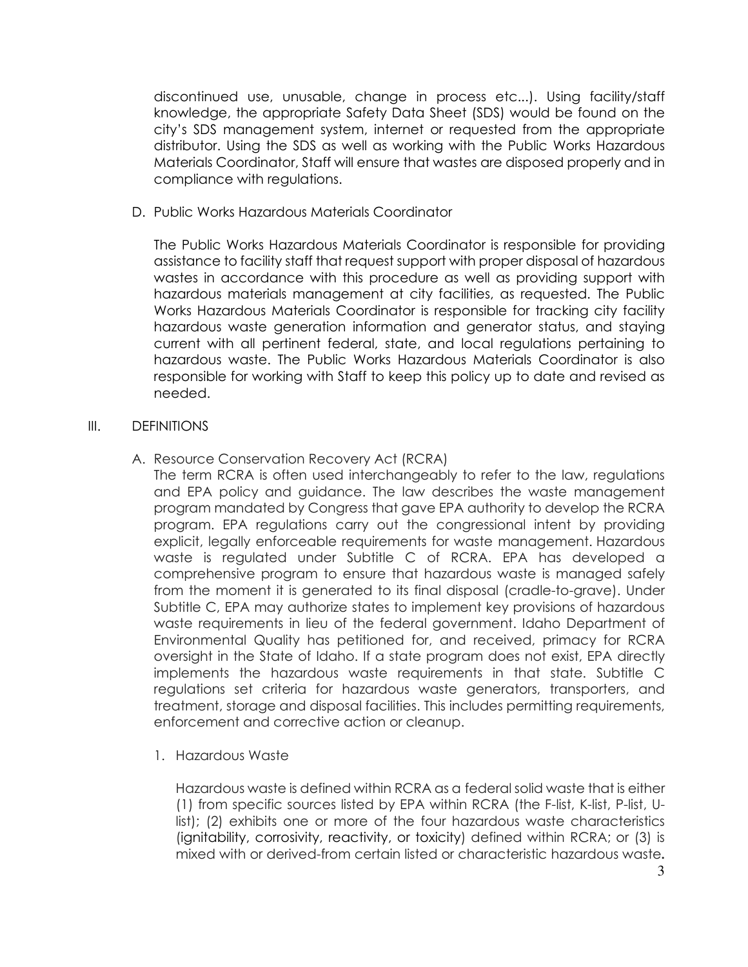discontinued use, unusable, change in process etc...). Using facility/staff knowledge, the appropriate Safety Data Sheet (SDS) would be found on the city's SDS management system, internet or requested from the appropriate distributor. Using the SDS as well as working with the Public Works Hazardous Materials Coordinator, Staff will ensure that wastes are disposed properly and in compliance with regulations.

D. Public Works Hazardous Materials Coordinator

The Public Works Hazardous Materials Coordinator is responsible for providing assistance to facility staff that request support with proper disposal of hazardous wastes in accordance with this procedure as well as providing support with hazardous materials management at city facilities, as requested. The Public Works Hazardous Materials Coordinator is responsible for tracking city facility hazardous waste generation information and generator status, and staying current with all pertinent federal, state, and local regulations pertaining to hazardous waste. The Public Works Hazardous Materials Coordinator is also responsible for working with Staff to keep this policy up to date and revised as needed.

### III. DEFINITIONS

A. Resource Conservation Recovery Act (RCRA)

The term RCRA is often used interchangeably to refer to the law, regulations and EPA policy and guidance. The law describes the waste management program mandated by Congress that gave EPA authority to develop the RCRA program. EPA regulations carry out the congressional intent by providing explicit, legally enforceable requirements for waste management. Hazardous waste is regulated under Subtitle C of RCRA. EPA has developed a comprehensive program to ensure that hazardous waste is managed safely from the moment it is generated to its final disposal (cradle-to-grave). Under Subtitle C, EPA may authorize states to implement key provisions of hazardous waste requirements in lieu of the federal government. Idaho Department of Environmental Quality has petitioned for, and received, primacy for RCRA oversight in the State of Idaho. If a state program does not exist, EPA directly implements the hazardous waste requirements in that state. Subtitle C regulations set criteria for hazardous waste generators, transporters, and treatment, storage and disposal facilities. This includes permitting requirements, enforcement and corrective action or cleanup.

1. Hazardous Waste

Hazardous waste is defined within RCRA as a federal solid waste that is either (1) from specific sources listed by EPA within RCRA (the F-list, K-list, P-list, Ulist); (2) exhibits one or more of the four hazardous waste characteristics (ignitability, corrosivity, reactivity, or toxicity) defined within RCRA; or (3) is mixed with or derived-from certain listed or characteristic hazardous waste.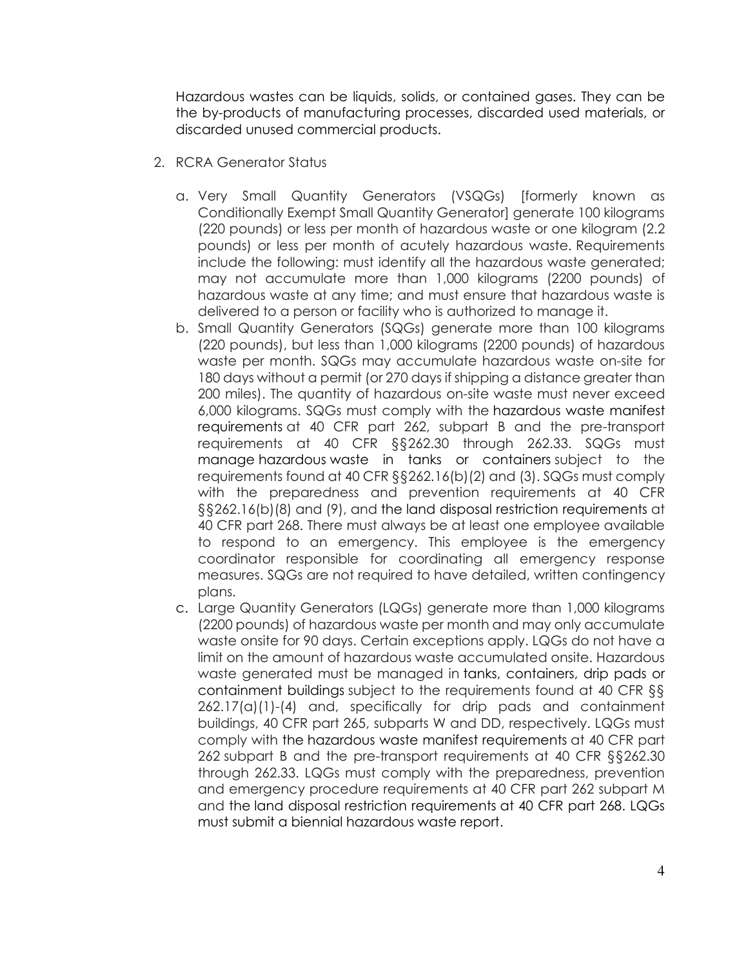Hazardous wastes can be liquids, solids, or contained gases. They can be the by-products of manufacturing processes, discarded used materials, or discarded unused commercial products.

- 2. RCRA Generator Status
	- a. Very Small Quantity Generators (VSQGs) [formerly known as Conditionally Exempt Small Quantity Generator] generate 100 kilograms (220 pounds) or less per month of hazardous waste or one kilogram (2.2 pounds) or less per month of acutely hazardous waste. Requirements include the following: must identify all the hazardous waste generated; may not accumulate more than 1,000 kilograms (2200 pounds) of hazardous waste at any time; and must ensure that hazardous waste is delivered to a person or facility who is authorized to manage it.
	- b. Small Quantity Generators (SQGs) generate more than 100 kilograms (220 pounds), but less than 1,000 kilograms (2200 pounds) of hazardous waste per month. SQGs may accumulate hazardous waste on-site for 180 days without a permit (or 270 days if shipping a distance greater than 200 miles). The quantity of hazardous on-site waste must never exceed 6,000 kilograms. SQGs must comply with the hazardous waste manifest requirements at 40 CFR part 262, subpart B and the pre-transport requirements at 40 CFR §§262.30 through 262.33. SQGs must manage hazardous waste in tanks or containers subject to the requirements found at 40 CFR §§262.16(b)(2) and (3). SQGs must comply with the preparedness and prevention requirements at 40 CFR §§262.16(b)(8) and (9), and the land disposal restriction requirements at 40 CFR part 268. There must always be at least one employee available to respond to an emergency. This employee is the emergency coordinator responsible for coordinating all emergency response measures. SQGs are not required to have detailed, written contingency plans.
	- c. Large Quantity Generators (LQGs) generate more than 1,000 kilograms (2200 pounds) of hazardous waste per month and may only accumulate waste onsite for 90 days. Certain exceptions apply. LQGs do not have a limit on the amount of hazardous waste accumulated onsite. Hazardous waste generated must be managed in tanks, containers, drip pads or containment buildings subject to the requirements found at 40 CFR §§  $262.17(a)(1)-(4)$  and, specifically for drip pads and containment buildings, 40 CFR part 265, subparts W and DD, respectively. LQGs must comply with the hazardous waste manifest requirements at 40 CFR part 262 subpart B and the pre-transport requirements at 40 CFR §§262.30 through 262.33. LQGs must comply with the preparedness, prevention and emergency procedure requirements at 40 CFR part 262 subpart M and the land disposal restriction requirements at 40 CFR part 268. LQGs must submit a biennial hazardous waste report.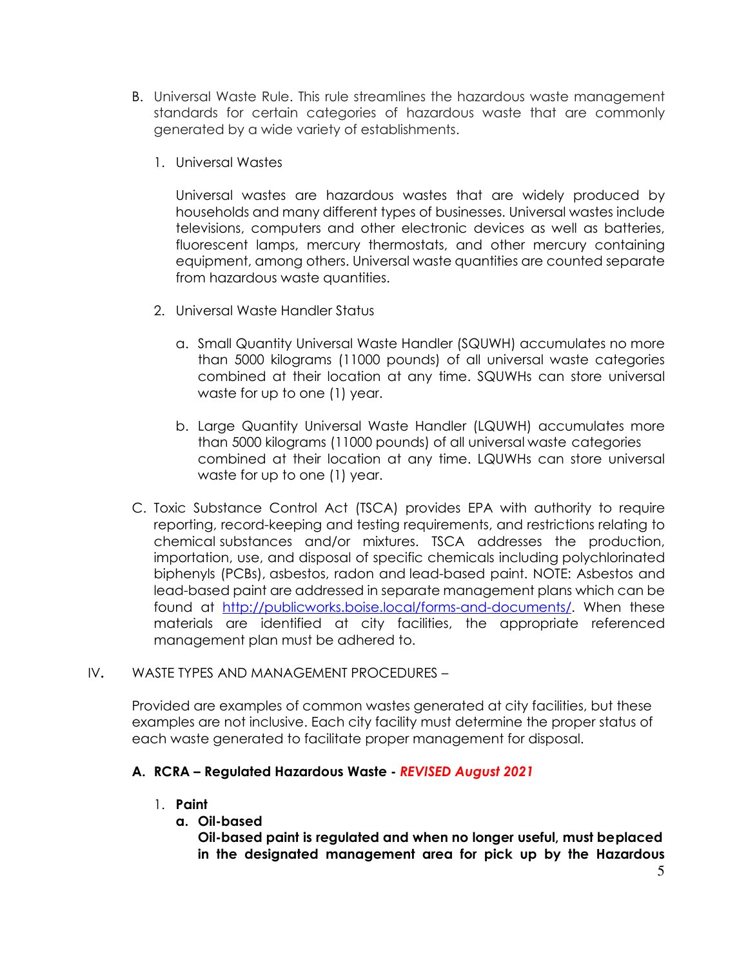- B. Universal Waste Rule. This rule streamlines the hazardous waste management standards for certain categories of hazardous waste that are commonly generated by a wide variety of establishments.
	- 1. Universal Wastes

Universal wastes are hazardous wastes that are widely produced by households and many different types of businesses. Universal wastes include televisions, computers and other electronic devices as well as batteries, fluorescent lamps, mercury thermostats, and other mercury containing equipment, among others. Universal waste quantities are counted separate from hazardous waste quantities.

- 2. Universal Waste Handler Status
	- a. Small Quantity Universal Waste Handler (SQUWH) accumulates no more than 5000 kilograms (11000 pounds) of all universal waste categories combined at their location at any time. SQUWHs can store universal waste for up to one (1) year.
	- b. Large Quantity Universal Waste Handler (LQUWH) accumulates more than 5000 kilograms (11000 pounds) of all universal waste categories combined at their location at any time. LQUWHs can store universal waste for up to one (1) year.
- C. Toxic Substance Control Act (TSCA) provides EPA with authority to require reporting, record-keeping and testing requirements, and restrictions relating to chemical substances and/or mixtures. TSCA addresses the production, importation, use, and disposal of specific chemicals including polychlorinated biphenyls (PCBs), asbestos, radon and lead-based paint. NOTE: Asbestos and lead-based paint are addressed in separate management plans which can be found at http://publicworks.boise.local/forms-and-documents/. When these materials are identified at city facilities, the appropriate referenced management plan must be adhered to.

## IV. WASTE TYPES AND MANAGEMENT PROCEDURES –

Provided are examples of common wastes generated at city facilities, but these examples are not inclusive. Each city facility must determine the proper status of each waste generated to facilitate proper management for disposal.

# A. RCRA – Regulated Hazardous Waste - REVISED August 2021

# 1. Paint

a. Oil-based

Oil-based paint is regulated and when no longer useful, must be placed in the designated management area for pick up by the Hazardous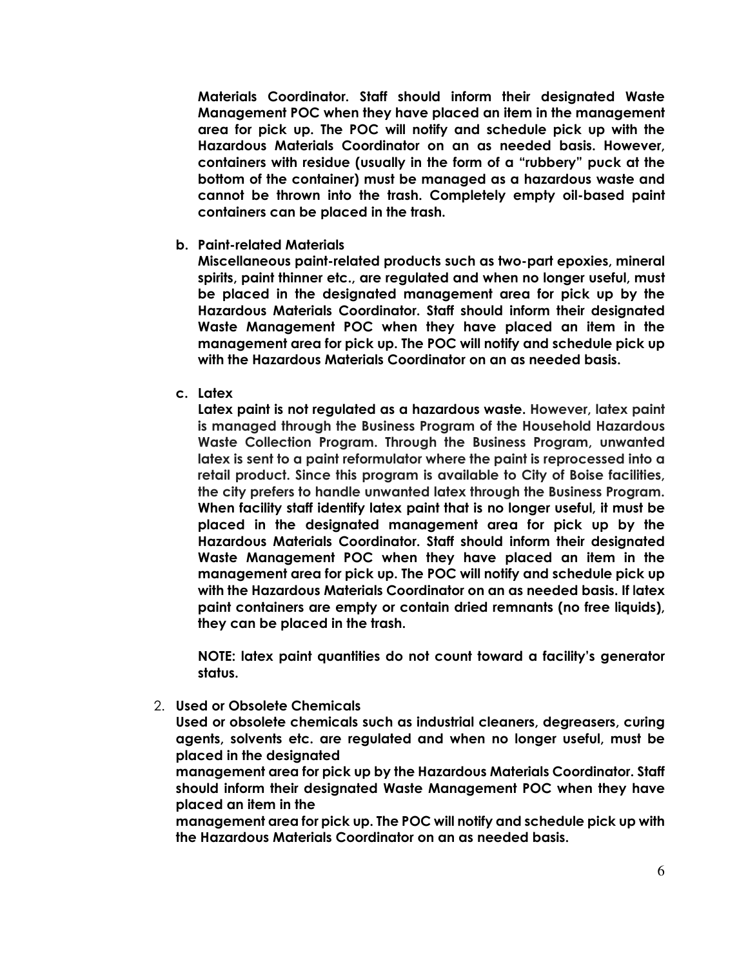Materials Coordinator. Staff should inform their designated Waste Management POC when they have placed an item in the management area for pick up. The POC will notify and schedule pick up with the Hazardous Materials Coordinator on an as needed basis. However, containers with residue (usually in the form of a "rubbery" puck at the bottom of the container) must be managed as a hazardous waste and cannot be thrown into the trash. Completely empty oil-based paint containers can be placed in the trash.

b. Paint-related Materials

Miscellaneous paint-related products such as two-part epoxies, mineral spirits, paint thinner etc., are regulated and when no longer useful, must be placed in the designated management area for pick up by the Hazardous Materials Coordinator. Staff should inform their designated Waste Management POC when they have placed an item in the management area for pick up. The POC will notify and schedule pick up with the Hazardous Materials Coordinator on an as needed basis.

c. Latex

Latex paint is not regulated as a hazardous waste. However, latex paint is managed through the Business Program of the Household Hazardous Waste Collection Program. Through the Business Program, unwanted latex is sent to a paint reformulator where the paint is reprocessed into a retail product. Since this program is available to City of Boise facilities, the city prefers to handle unwanted latex through the Business Program. When facility staff identify latex paint that is no longer useful, it must be placed in the designated management area for pick up by the Hazardous Materials Coordinator. Staff should inform their designated Waste Management POC when they have placed an item in the management area for pick up. The POC will notify and schedule pick up with the Hazardous Materials Coordinator on an as needed basis. If latex paint containers are empty or contain dried remnants (no free liquids), they can be placed in the trash.

NOTE: latex paint quantities do not count toward a facility's generator status.

2. Used or Obsolete Chemicals

Used or obsolete chemicals such as industrial cleaners, degreasers, curing agents, solvents etc. are regulated and when no longer useful, must be placed in the designated

management area for pick up by the Hazardous Materials Coordinator. Staff should inform their designated Waste Management POC when they have placed an item in the

management area for pick up. The POC will notify and schedule pick up with the Hazardous Materials Coordinator on an as needed basis.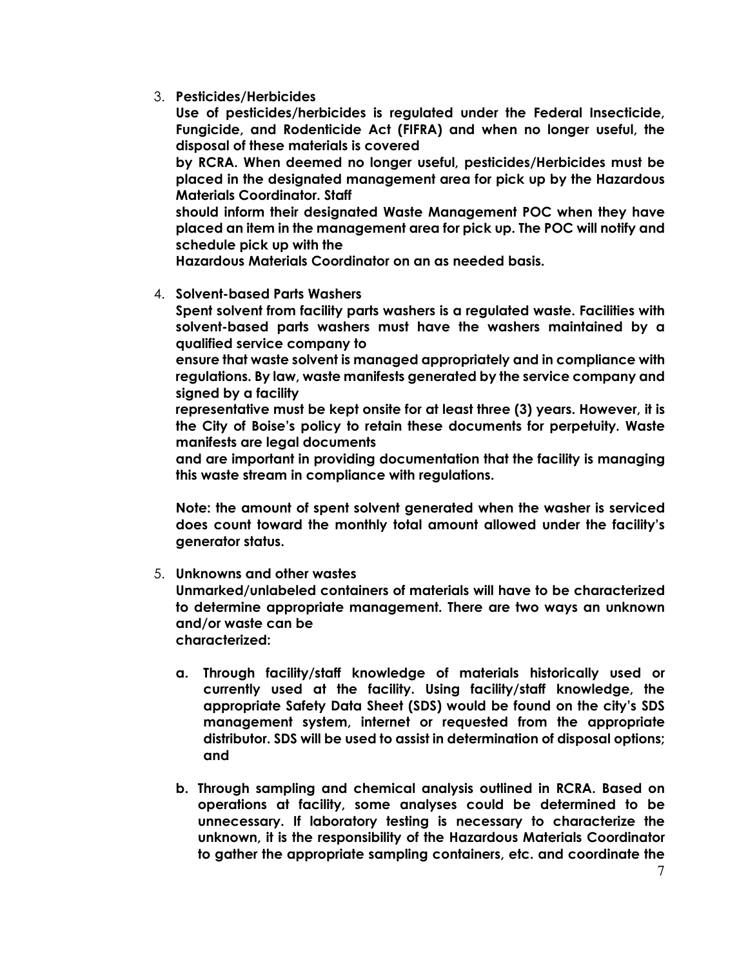3. Pesticides/Herbicides

Use of pesticides/herbicides is regulated under the Federal Insecticide, Fungicide, and Rodenticide Act (FIFRA) and when no longer useful, the disposal of these materials is covered

by RCRA. When deemed no longer useful, pesticides/Herbicides must be placed in the designated management area for pick up by the Hazardous Materials Coordinator. Staff

should inform their designated Waste Management POC when they have placed an item in the management area for pick up. The POC will notify and schedule pick up with the

Hazardous Materials Coordinator on an as needed basis.

## 4. Solvent-based Parts Washers

Spent solvent from facility parts washers is a regulated waste. Facilities with solvent-based parts washers must have the washers maintained by a qualified service company to

ensure that waste solvent is managed appropriately and in compliance with regulations. By law, waste manifests generated by the service company and signed by a facility

representative must be kept onsite for at least three (3) years. However, it is the City of Boise's policy to retain these documents for perpetuity. Waste manifests are legal documents

and are important in providing documentation that the facility is managing this waste stream in compliance with regulations.

Note: the amount of spent solvent generated when the washer is serviced does count toward the monthly total amount allowed under the facility's generator status.

# 5. Unknowns and other wastes

Unmarked/unlabeled containers of materials will have to be characterized to determine appropriate management. There are two ways an unknown and/or waste can be

characterized:

- a. Through facility/staff knowledge of materials historically used or currently used at the facility. Using facility/staff knowledge, the appropriate Safety Data Sheet (SDS) would be found on the city's SDS management system, internet or requested from the appropriate distributor. SDS will be used to assist in determination of disposal options; and
- b. Through sampling and chemical analysis outlined in RCRA. Based on operations at facility, some analyses could be determined to be unnecessary. If laboratory testing is necessary to characterize the unknown, it is the responsibility of the Hazardous Materials Coordinator to gather the appropriate sampling containers, etc. and coordinate the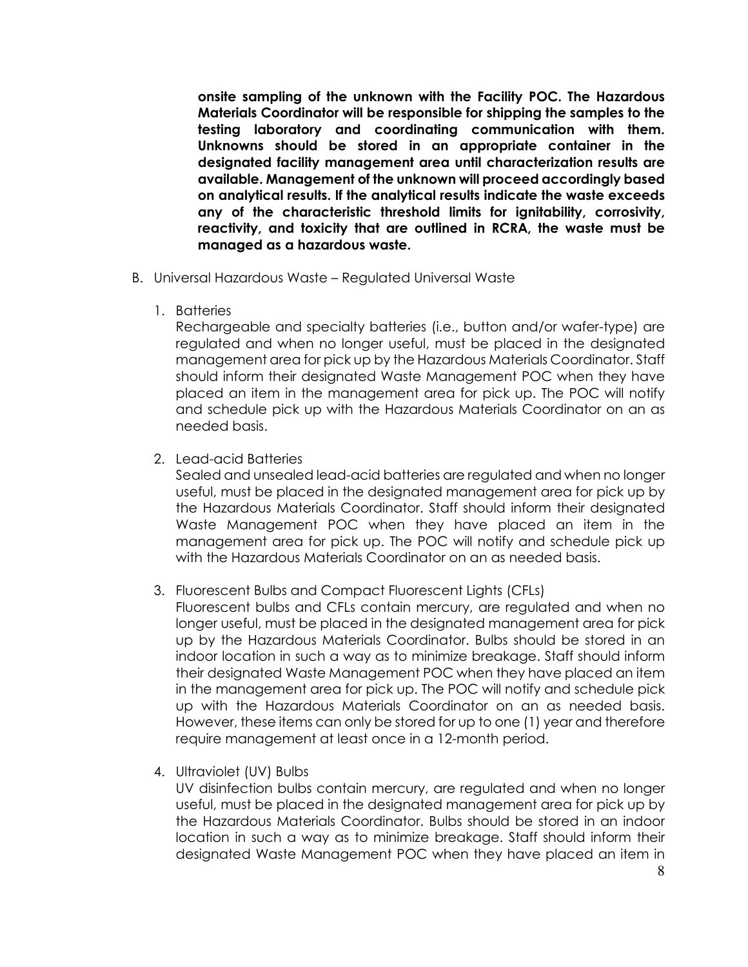onsite sampling of the unknown with the Facility POC. The Hazardous Materials Coordinator will be responsible for shipping the samples to the testing laboratory and coordinating communication with them. Unknowns should be stored in an appropriate container in the designated facility management area until characterization results are available. Management of the unknown will proceed accordingly based on analytical results. If the analytical results indicate the waste exceeds any of the characteristic threshold limits for ignitability, corrosivity, reactivity, and toxicity that are outlined in RCRA, the waste must be managed as a hazardous waste.

- B. Universal Hazardous Waste Regulated Universal Waste
	- 1. Batteries

Rechargeable and specialty batteries (i.e., button and/or wafer-type) are regulated and when no longer useful, must be placed in the designated management area for pick up by the Hazardous Materials Coordinator. Staff should inform their designated Waste Management POC when they have placed an item in the management area for pick up. The POC will notify and schedule pick up with the Hazardous Materials Coordinator on an as needed basis.

2. Lead-acid Batteries

Sealed and unsealed lead-acid batteries are regulated and when no longer useful, must be placed in the designated management area for pick up by the Hazardous Materials Coordinator. Staff should inform their designated Waste Management POC when they have placed an item in the management area for pick up. The POC will notify and schedule pick up with the Hazardous Materials Coordinator on an as needed basis.

- 3. Fluorescent Bulbs and Compact Fluorescent Lights (CFLs)
	- Fluorescent bulbs and CFLs contain mercury, are regulated and when no longer useful, must be placed in the designated management area for pick up by the Hazardous Materials Coordinator. Bulbs should be stored in an indoor location in such a way as to minimize breakage. Staff should inform their designated Waste Management POC when they have placed an item in the management area for pick up. The POC will notify and schedule pick up with the Hazardous Materials Coordinator on an as needed basis. However, these items can only be stored for up to one (1) year and therefore require management at least once in a 12-month period.
- 4. Ultraviolet (UV) Bulbs

UV disinfection bulbs contain mercury, are regulated and when no longer useful, must be placed in the designated management area for pick up by the Hazardous Materials Coordinator. Bulbs should be stored in an indoor location in such a way as to minimize breakage. Staff should inform their designated Waste Management POC when they have placed an item in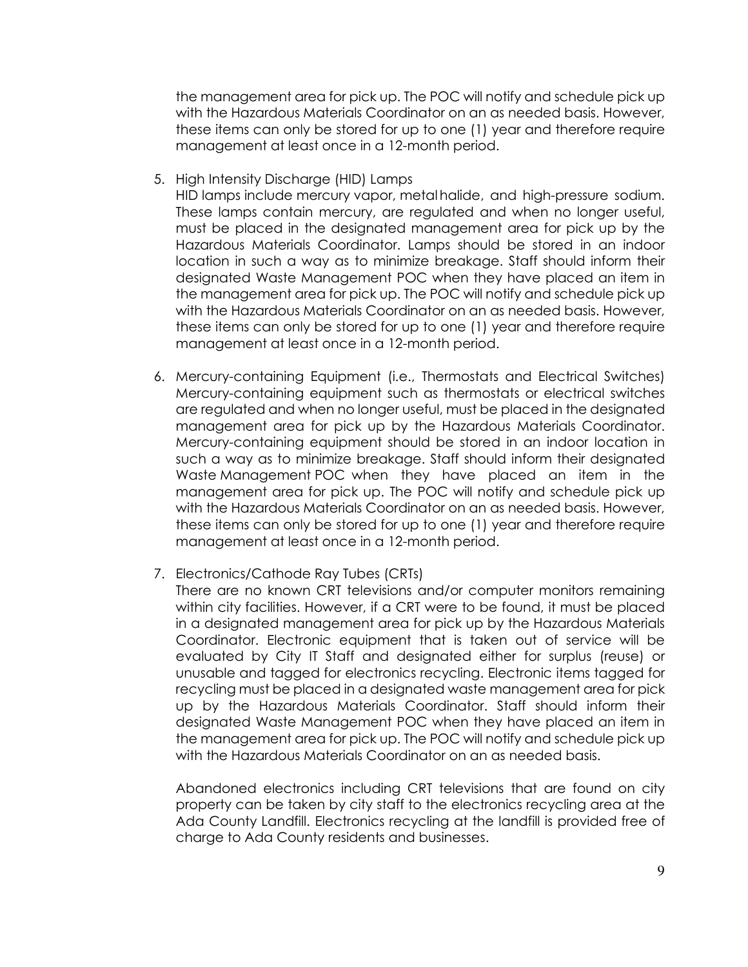the management area for pick up. The POC will notify and schedule pick up with the Hazardous Materials Coordinator on an as needed basis. However, these items can only be stored for up to one (1) year and therefore require management at least once in a 12-month period.

5. High Intensity Discharge (HID) Lamps

HID lamps include mercury vapor, metal halide, and high-pressure sodium. These lamps contain mercury, are regulated and when no longer useful, must be placed in the designated management area for pick up by the Hazardous Materials Coordinator. Lamps should be stored in an indoor location in such a way as to minimize breakage. Staff should inform their designated Waste Management POC when they have placed an item in the management area for pick up. The POC will notify and schedule pick up with the Hazardous Materials Coordinator on an as needed basis. However, these items can only be stored for up to one (1) year and therefore require management at least once in a 12-month period.

- 6. Mercury-containing Equipment (i.e., Thermostats and Electrical Switches) Mercury-containing equipment such as thermostats or electrical switches are regulated and when no longer useful, must be placed in the designated management area for pick up by the Hazardous Materials Coordinator. Mercury-containing equipment should be stored in an indoor location in such a way as to minimize breakage. Staff should inform their designated Waste Management POC when they have placed an item in the management area for pick up. The POC will notify and schedule pick up with the Hazardous Materials Coordinator on an as needed basis. However, these items can only be stored for up to one (1) year and therefore require management at least once in a 12-month period.
- 7. Electronics/Cathode Ray Tubes (CRTs)
	- There are no known CRT televisions and/or computer monitors remaining within city facilities. However, if a CRT were to be found, it must be placed in a designated management area for pick up by the Hazardous Materials Coordinator. Electronic equipment that is taken out of service will be evaluated by City IT Staff and designated either for surplus (reuse) or unusable and tagged for electronics recycling. Electronic items tagged for recycling must be placed in a designated waste management area for pick up by the Hazardous Materials Coordinator. Staff should inform their designated Waste Management POC when they have placed an item in the management area for pick up. The POC will notify and schedule pick up with the Hazardous Materials Coordinator on an as needed basis.

Abandoned electronics including CRT televisions that are found on city property can be taken by city staff to the electronics recycling area at the Ada County Landfill. Electronics recycling at the landfill is provided free of charge to Ada County residents and businesses.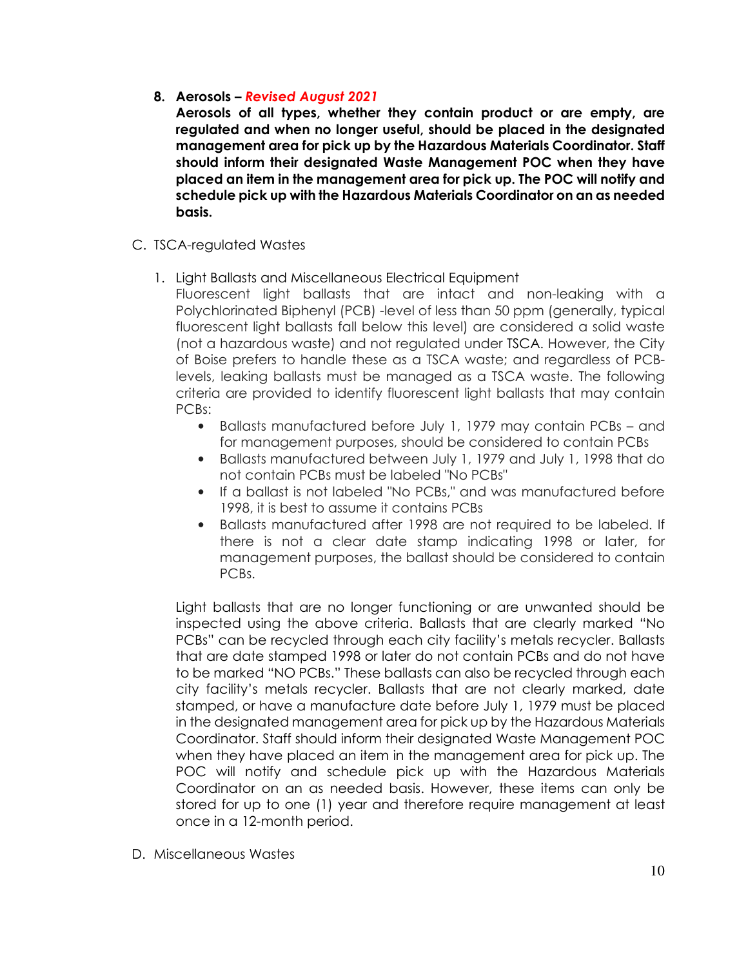# 8. Aerosols – Revised August 2021

Aerosols of all types, whether they contain product or are empty, are regulated and when no longer useful, should be placed in the designated management area for pick up by the Hazardous Materials Coordinator. Staff should inform their designated Waste Management POC when they have placed an item in the management area for pick up. The POC will notify and schedule pick up with the Hazardous Materials Coordinator on an as needed basis.

- C. TSCA-regulated Wastes
	- 1. Light Ballasts and Miscellaneous Electrical Equipment

Fluorescent light ballasts that are intact and non-leaking with a Polychlorinated Biphenyl (PCB) -level of less than 50 ppm (generally, typical fluorescent light ballasts fall below this level) are considered a solid waste (not a hazardous waste) and not regulated under TSCA. However, the City of Boise prefers to handle these as a TSCA waste; and regardless of PCBlevels, leaking ballasts must be managed as a TSCA waste. The following criteria are provided to identify fluorescent light ballasts that may contain PCBs:

- Ballasts manufactured before July 1, 1979 may contain PCBs and for management purposes, should be considered to contain PCBs
- Ballasts manufactured between July 1, 1979 and July 1, 1998 that do not contain PCBs must be labeled "No PCBs"
- If a ballast is not labeled "No PCBs," and was manufactured before 1998, it is best to assume it contains PCBs
- Ballasts manufactured after 1998 are not required to be labeled. If there is not a clear date stamp indicating 1998 or later, for management purposes, the ballast should be considered to contain PCBs.

Light ballasts that are no longer functioning or are unwanted should be inspected using the above criteria. Ballasts that are clearly marked "No PCBs" can be recycled through each city facility's metals recycler. Ballasts that are date stamped 1998 or later do not contain PCBs and do not have to be marked "NO PCBs." These ballasts can also be recycled through each city facility's metals recycler. Ballasts that are not clearly marked, date stamped, or have a manufacture date before July 1, 1979 must be placed in the designated management area for pick up by the Hazardous Materials Coordinator. Staff should inform their designated Waste Management POC when they have placed an item in the management area for pick up. The POC will notify and schedule pick up with the Hazardous Materials Coordinator on an as needed basis. However, these items can only be stored for up to one (1) year and therefore require management at least once in a 12-month period.

D. Miscellaneous Wastes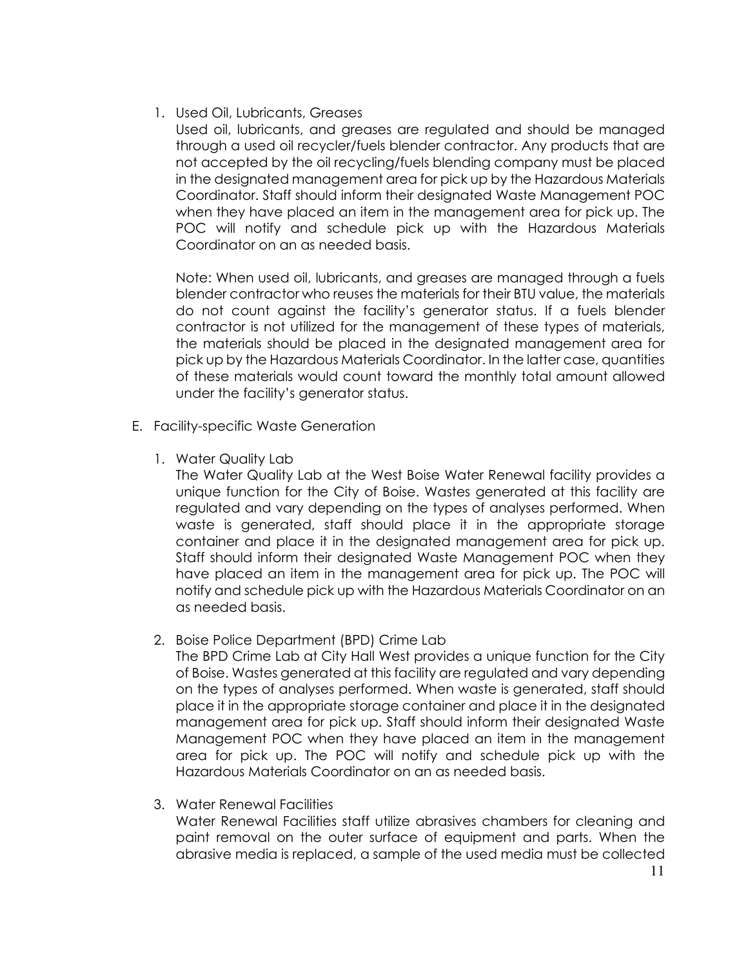## 1. Used Oil, Lubricants, Greases

Used oil, lubricants, and greases are regulated and should be managed through a used oil recycler/fuels blender contractor. Any products that are not accepted by the oil recycling/fuels blending company must be placed in the designated management area for pick up by the Hazardous Materials Coordinator. Staff should inform their designated Waste Management POC when they have placed an item in the management area for pick up. The POC will notify and schedule pick up with the Hazardous Materials Coordinator on an as needed basis.

Note: When used oil, lubricants, and greases are managed through a fuels blender contractor who reuses the materials for their BTU value, the materials do not count against the facility's generator status. If a fuels blender contractor is not utilized for the management of these types of materials, the materials should be placed in the designated management area for pick up by the Hazardous Materials Coordinator. In the latter case, quantities of these materials would count toward the monthly total amount allowed under the facility's generator status.

- E. Facility-specific Waste Generation
	- 1. Water Quality Lab

The Water Quality Lab at the West Boise Water Renewal facility provides a unique function for the City of Boise. Wastes generated at this facility are regulated and vary depending on the types of analyses performed. When waste is generated, staff should place it in the appropriate storage container and place it in the designated management area for pick up. Staff should inform their designated Waste Management POC when they have placed an item in the management area for pick up. The POC will notify and schedule pick up with the Hazardous Materials Coordinator on an as needed basis.

2. Boise Police Department (BPD) Crime Lab

The BPD Crime Lab at City Hall West provides a unique function for the City of Boise. Wastes generated at this facility are regulated and vary depending on the types of analyses performed. When waste is generated, staff should place it in the appropriate storage container and place it in the designated management area for pick up. Staff should inform their designated Waste Management POC when they have placed an item in the management area for pick up. The POC will notify and schedule pick up with the Hazardous Materials Coordinator on an as needed basis.

3. Water Renewal Facilities

Water Renewal Facilities staff utilize abrasives chambers for cleaning and paint removal on the outer surface of equipment and parts. When the abrasive media is replaced, a sample of the used media must be collected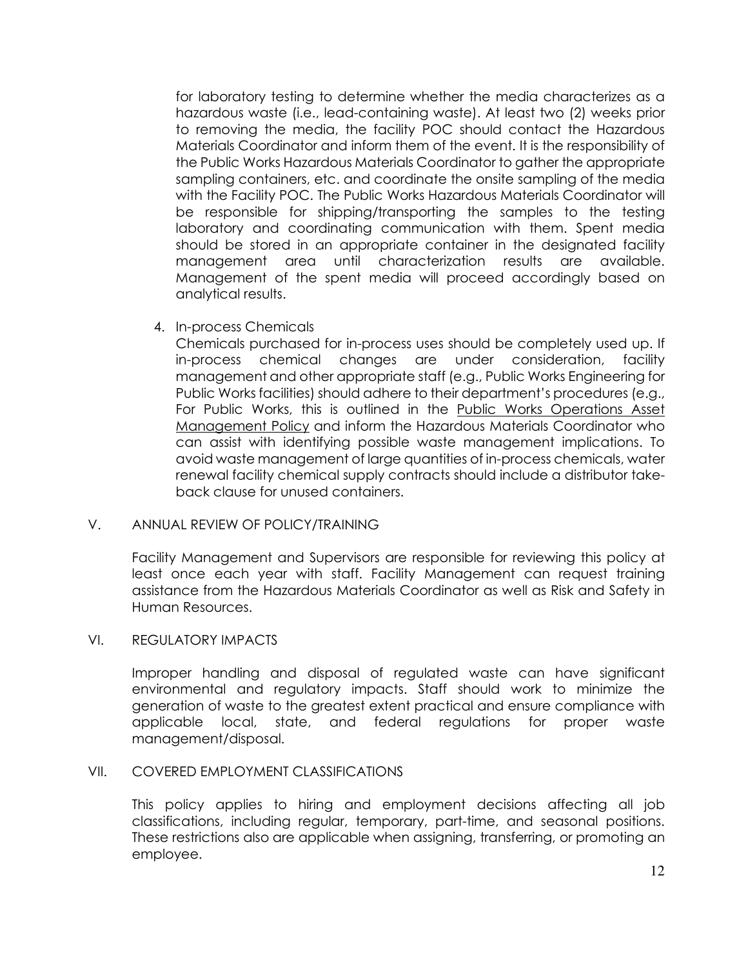for laboratory testing to determine whether the media characterizes as a hazardous waste (i.e., lead-containing waste). At least two (2) weeks prior to removing the media, the facility POC should contact the Hazardous Materials Coordinator and inform them of the event. It is the responsibility of the Public Works Hazardous Materials Coordinator to gather the appropriate sampling containers, etc. and coordinate the onsite sampling of the media with the Facility POC. The Public Works Hazardous Materials Coordinator will be responsible for shipping/transporting the samples to the testing laboratory and coordinating communication with them. Spent media should be stored in an appropriate container in the designated facility management area until characterization results are available. Management of the spent media will proceed accordingly based on analytical results.

4. In-process Chemicals

Chemicals purchased for in-process uses should be completely used up. If in-process chemical changes are under consideration, facility management and other appropriate staff (e.g., Public Works Engineering for Public Works facilities) should adhere to their department's procedures (e.g., For Public Works, this is outlined in the Public Works Operations Asset Management Policy and inform the Hazardous Materials Coordinator who can assist with identifying possible waste management implications. To avoid waste management of large quantities of in-process chemicals, water renewal facility chemical supply contracts should include a distributor takeback clause for unused containers.

## V. ANNUAL REVIEW OF POLICY/TRAINING

Facility Management and Supervisors are responsible for reviewing this policy at least once each year with staff. Facility Management can request training assistance from the Hazardous Materials Coordinator as well as Risk and Safety in Human Resources.

### VI. REGULATORY IMPACTS

Improper handling and disposal of regulated waste can have significant environmental and regulatory impacts. Staff should work to minimize the generation of waste to the greatest extent practical and ensure compliance with applicable local, state, and federal regulations for proper waste management/disposal.

#### VII. COVERED EMPLOYMENT CLASSIFICATIONS

This policy applies to hiring and employment decisions affecting all job classifications, including regular, temporary, part-time, and seasonal positions. These restrictions also are applicable when assigning, transferring, or promoting an employee.